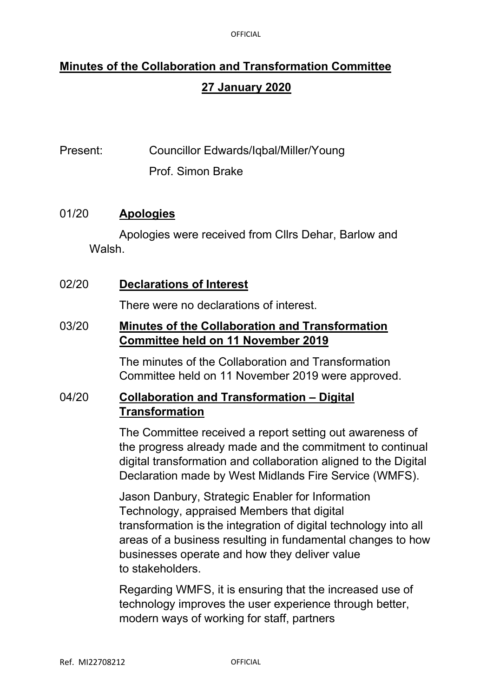OFFICIAL

# **Minutes of the Collaboration and Transformation Committee 27 January 2020**

Present: Councillor Edwards/Iqbal/Miller/Young Prof. Simon Brake

#### 01/20 **Apologies**

Apologies were received from Cllrs Dehar, Barlow and Walsh.

# 02/20 **Declarations of Interest**

There were no declarations of interest.

## 03/20 **Minutes of the Collaboration and Transformation Committee held on 11 November 2019**

The minutes of the Collaboration and Transformation Committee held on 11 November 2019 were approved.

## 04/20 **Collaboration and Transformation – Digital Transformation**

The Committee received a report setting out awareness of the progress already made and the commitment to continual digital transformation and collaboration aligned to the Digital Declaration made by West Midlands Fire Service (WMFS).

Jason Danbury, Strategic Enabler for Information Technology, appraised Members that digital transformation is the integration of digital technology into all areas of a business resulting in fundamental changes to how businesses operate and how they deliver value to stakeholders.

Regarding WMFS, it is ensuring that the increased use of technology improves the user experience through better, modern ways of working for staff, partners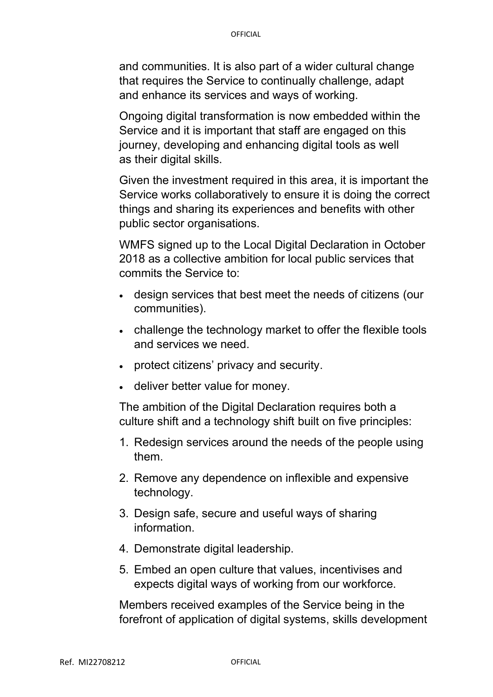and communities. It is also part of a wider cultural change that requires the Service to continually challenge, adapt and enhance its services and ways of working.

Ongoing digital transformation is now embedded within the Service and it is important that staff are engaged on this journey, developing and enhancing digital tools as well as their digital skills.

Given the investment required in this area, it is important the Service works collaboratively to ensure it is doing the correct things and sharing its experiences and benefits with other public sector organisations.

WMFS signed up to the Local Digital Declaration in October 2018 as a collective ambition for local public services that commits the Service to:

- design services that best meet the needs of citizens (our communities).
- challenge the technology market to offer the flexible tools and services we need.
- protect citizens' privacy and security.
- deliver better value for money.

The ambition of the Digital Declaration requires both a culture shift and a technology shift built on five principles:

- 1. Redesign services around the needs of the people using them.
- 2. Remove any dependence on inflexible and expensive technology.
- 3. Design safe, secure and useful ways of sharing information.
- 4. Demonstrate digital leadership.
- 5. Embed an open culture that values, incentivises and expects digital ways of working from our workforce.

Members received examples of the Service being in the forefront of application of digital systems, skills development